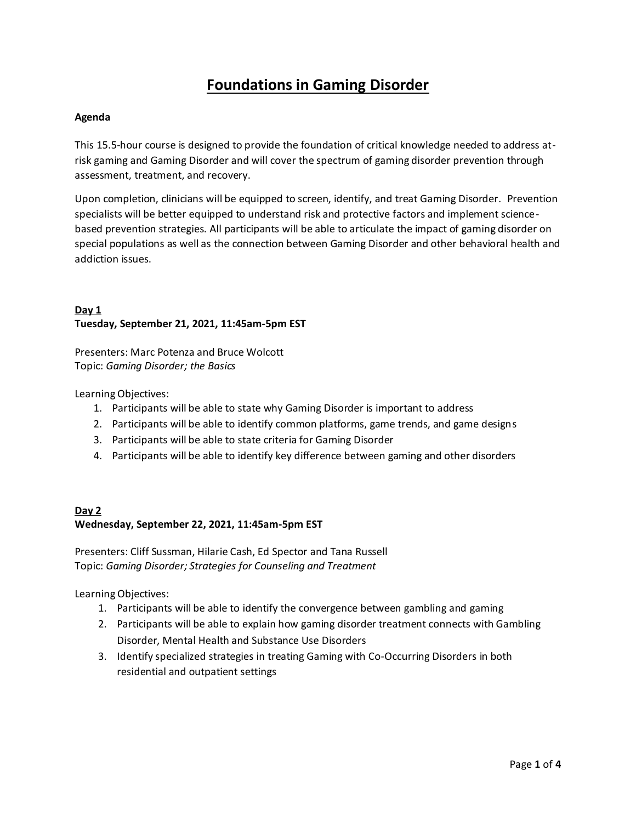# **Foundations in Gaming Disorder**

### **Agenda**

This 15.5-hour course is designed to provide the foundation of critical knowledge needed to address atrisk gaming and Gaming Disorder and will cover the spectrum of gaming disorder prevention through assessment, treatment, and recovery.

Upon completion, clinicians will be equipped to screen, identify, and treat Gaming Disorder. Prevention specialists will be better equipped to understand risk and protective factors and implement sciencebased prevention strategies. All participants will be able to articulate the impact of gaming disorder on special populations as well as the connection between Gaming Disorder and other behavioral health and addiction issues.

# **Day 1 Tuesday, September 21, 2021, 11:45am-5pm EST**

Presenters: Marc Potenza and Bruce Wolcott Topic: *Gaming Disorder; the Basics*

Learning Objectives:

- 1. Participants will be able to state why Gaming Disorder is important to address
- 2. Participants will be able to identify common platforms, game trends, and game designs
- 3. Participants will be able to state criteria for Gaming Disorder
- 4. Participants will be able to identify key difference between gaming and other disorders

# **Day 2 Wednesday, September 22, 2021, 11:45am-5pm EST**

Presenters: Cliff Sussman, Hilarie Cash, Ed Spector and Tana Russell Topic: *Gaming Disorder; Strategies for Counseling and Treatment*

Learning Objectives:

- 1. Participants will be able to identify the convergence between gambling and gaming
- 2. Participants will be able to explain how gaming disorder treatment connects with Gambling Disorder, Mental Health and Substance Use Disorders
- 3. Identify specialized strategies in treating Gaming with Co-Occurring Disorders in both residential and outpatient settings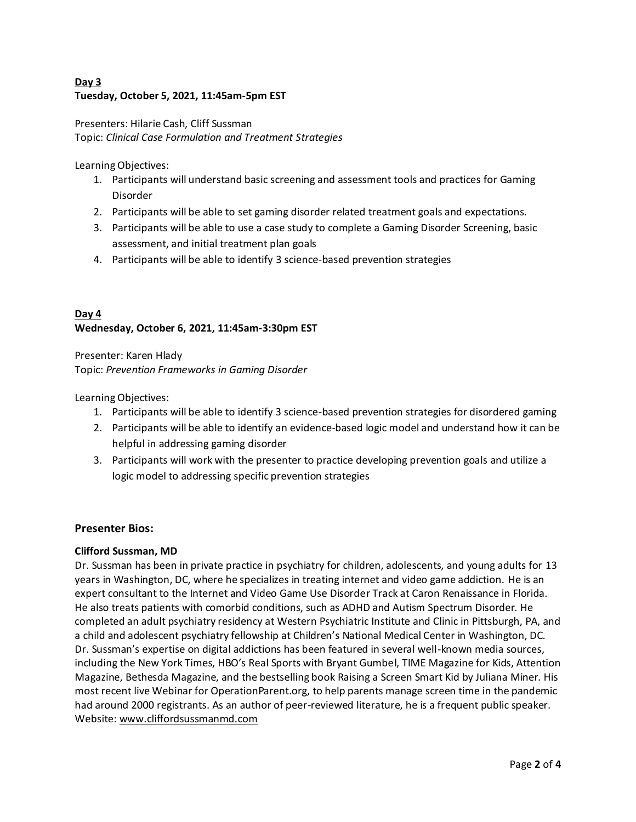# **Day 3 Tuesday, October 5, 2021, 11:45am-5pm EST**

Presenters: Hilarie Cash, Cliff Sussman Topic: *Clinical Case Formulation and Treatment Strategies*

Learning Objectives:

- 1. Participants will understand basic screening and assessment tools and practices for Gaming Disorder
- 2. Participants will be able to set gaming disorder related treatment goals and expectations.
- 3. Participants will be able to use a case study to complete a Gaming Disorder Screening, basic assessment, and initial treatment plan goals
- 4. Participants will be able to identify 3 science-based prevention strategies

# **Day 4 Wednesday, October 6, 2021, 11:45am-3:30pm EST**

Presenter: Karen Hlady Topic: *Prevention Frameworks in Gaming Disorder*

Learning Objectives:

- 1. Participants will be able to identify 3 science-based prevention strategies for disordered gaming
- 2. Participants will be able to identify an evidence-based logic model and understand how it can be helpful in addressing gaming disorder
- 3. Participants will work with the presenter to practice developing prevention goals and utilize a logic model to addressing specific prevention strategies

# **Presenter Bios:**

# **Clifford Sussman, MD**

Dr. Sussman has been in private practice in psychiatry for children, adolescents, and young adults for 13 years in Washington, DC, where he specializes in treating internet and video game addiction. He is an expert consultant to the Internet and Video Game Use Disorder Track at Caron Renaissance in Florida. He also treats patients with comorbid conditions, such as ADHD and Autism Spectrum Disorder. He completed an adult psychiatry residency at Western Psychiatric Institute and Clinic in Pittsburgh, PA, and a child and adolescent psychiatry fellowship at Children's National Medical Center in Washington, DC. Dr. Sussman's expertise on digital addictions has been featured in several well-known media sources, including the New York Times, HBO's Real Sports with Bryant Gumbel, TIME Magazine for Kids, Attention Magazine, Bethesda Magazine, and the bestselling book Raising a Screen Smart Kid by Juliana Miner. His most recent live Webinar for OperationParent.org, to help parents manage screen time in the pandemic had around 2000 registrants. As an author of peer-reviewed literature, he is a frequent public speaker. Website: www.cliffordsussmanmd.com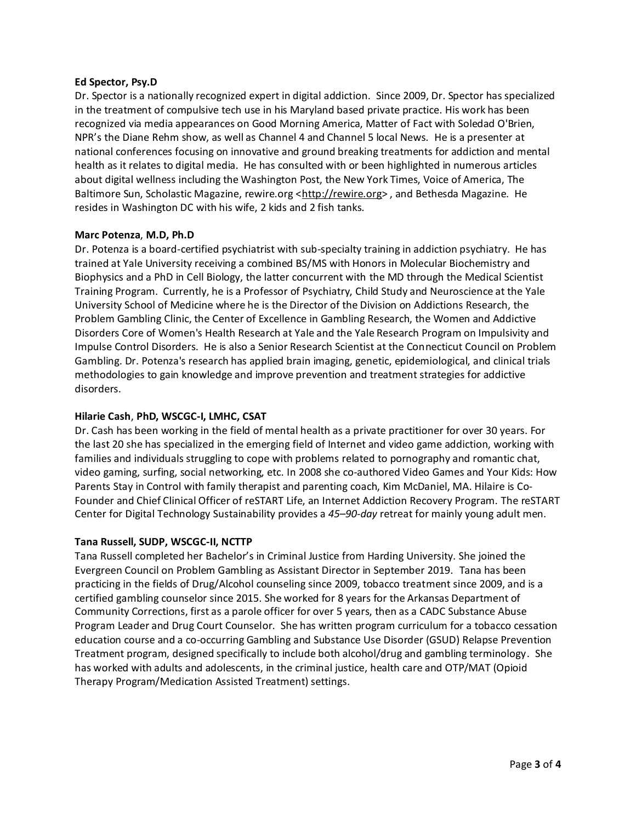#### **Ed Spector, Psy.D**

Dr. Spector is a nationally recognized expert in digital addiction. Since 2009, Dr. Spector has specialized in the treatment of compulsive tech use in his Maryland based private practice. His work has been recognized via media appearances on Good Morning America, Matter of Fact with Soledad O'Brien, NPR's the Diane Rehm show, as well as Channel 4 and Channel 5 local News. He is a presenter at national conferences focusing on innovative and ground breaking treatments for addiction and mental health as it relates to digital media. He has consulted with or been highlighted in numerous articles about digital wellness including the Washington Post, the New York Times, Voice of America, The Baltimore Sun, Scholastic Magazine, rewire.org <http://rewire.org>, and Bethesda Magazine. He resides in Washington DC with his wife, 2 kids and 2 fish tanks.

#### **Marc Potenza**, **M.D, Ph.D**

Dr. Potenza is a board-certified psychiatrist with sub-specialty training in addiction psychiatry. He has trained at Yale University receiving a combined BS/MS with Honors in Molecular Biochemistry and Biophysics and a PhD in Cell Biology, the latter concurrent with the MD through the Medical Scientist Training Program. Currently, he is a Professor of Psychiatry, Child Study and Neuroscience at the Yale University School of Medicine where he is the Director of the Division on Addictions Research, the Problem Gambling Clinic, the Center of Excellence in Gambling Research, the Women and Addictive Disorders Core of Women's Health Research at Yale and the Yale Research Program on Impulsivity and Impulse Control Disorders. He is also a Senior Research Scientist at the Connecticut Council on Problem Gambling. Dr. Potenza's research has applied brain imaging, genetic, epidemiological, and clinical trials methodologies to gain knowledge and improve prevention and treatment strategies for addictive disorders.

### **Hilarie Cash**, **PhD, WSCGC-I, LMHC, CSAT**

Dr. Cash has been working in the field of mental health as a private practitioner for over 30 years. For the last 20 she has specialized in the emerging field of Internet and video game addiction, working with families and individuals struggling to cope with problems related to pornography and romantic chat, video gaming, surfing, social networking, etc. In 2008 she co-authored Video Games and Your Kids: How Parents Stay in Control with family therapist and parenting coach, Kim McDaniel, MA. Hilaire is Co-Founder and Chief Clinical Officer of reSTART Life, an Internet Addiction Recovery Program. The reSTART Center for Digital Technology Sustainability provides a *45–90-day* retreat for mainly young adult men.

#### **Tana Russell, SUDP, WSCGC-II, NCTTP**

Tana Russell completed her Bachelor's in Criminal Justice from Harding University. She joined the Evergreen Council on Problem Gambling as Assistant Director in September 2019. Tana has been practicing in the fields of Drug/Alcohol counseling since 2009, tobacco treatment since 2009, and is a certified gambling counselor since 2015. She worked for 8 years for the Arkansas Department of Community Corrections, first as a parole officer for over 5 years, then as a CADC Substance Abuse Program Leader and Drug Court Counselor. She has written program curriculum for a tobacco cessation education course and a co-occurring Gambling and Substance Use Disorder (GSUD) Relapse Prevention Treatment program, designed specifically to include both alcohol/drug and gambling terminology. She has worked with adults and adolescents, in the criminal justice, health care and OTP/MAT (Opioid Therapy Program/Medication Assisted Treatment) settings.